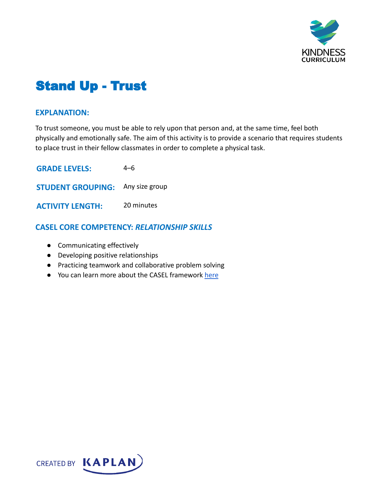

# Stand Up - Trust

#### **EXPLANATION:**

To trust someone, you must be able to rely upon that person and, at the same time, feel both physically and emotionally safe. The aim of this activity is to provide a scenario that requires students to place trust in their fellow classmates in order to complete a physical task.

| <b>GRADE LEVELS:</b>                    | 4–6        |
|-----------------------------------------|------------|
| <b>STUDENT GROUPING:</b> Any size group |            |
| <b>ACTIVITY LENGTH:</b>                 | 20 minutes |

### **CASEL CORE COMPETENCY:** *RELATIONSHIP SKILLS*

- Communicating effectively
- Developing positive relationships
- Practicing teamwork and collaborative problem solving
- You can learn more about the CASEL framework [here](https://casel.org/sel-framework/)

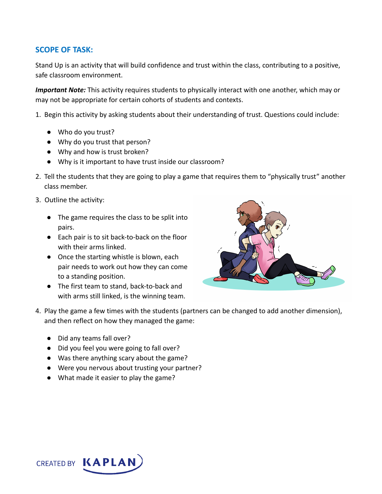## **SCOPE OF TASK:**

Stand Up is an activity that will build confidence and trust within the class, contributing to a positive, safe classroom environment.

*Important Note:* This activity requires students to physically interact with one another, which may or may not be appropriate for certain cohorts of students and contexts.

- 1. Begin this activity by asking students about their understanding of trust. Questions could include:
	- Who do you trust?
	- Why do you trust that person?
	- Why and how is trust broken?
	- Why is it important to have trust inside our classroom?
- 2. Tell the students that they are going to play a game that requires them to "physically trust" another class member.
- 3. Outline the activity:
	- The game requires the class to be split into pairs.
	- Each pair is to sit back-to-back on the floor with their arms linked.
	- Once the starting whistle is blown, each pair needs to work out how they can come to a standing position.
	- The first team to stand, back-to-back and with arms still linked, is the winning team.



- 4. Play the game a few times with the students (partners can be changed to add another dimension), and then reflect on how they managed the game:
	- Did any teams fall over?
	- Did you feel you were going to fall over?
	- Was there anything scary about the game?
	- Were you nervous about trusting your partner?
	- What made it easier to play the game?